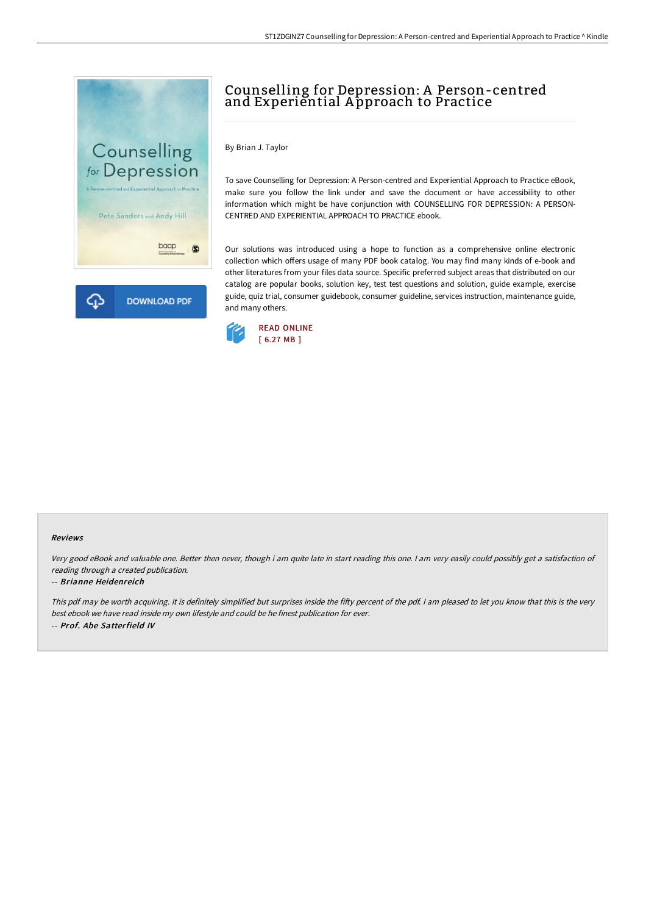

# Counselling for Depression: A Person-centred and Experiential Approach to Practice

By Brian J. Taylor

To save Counselling for Depression: A Person-centred and Experiential Approach to Practice eBook, make sure you follow the link under and save the document or have accessibility to other information which might be have conjunction with COUNSELLING FOR DEPRESSION: A PERSON-CENTRED AND EXPERIENTIAL APPROACH TO PRACTICE ebook.

Our solutions was introduced using a hope to function as a comprehensive online electronic collection which offers usage of many PDF book catalog. You may find many kinds of e-book and other literatures from your files data source. Specific preferred subject areas that distributed on our catalog are popular books, solution key, test test questions and solution, guide example, exercise guide, quiz trial, consumer guidebook, consumer guideline, services instruction, maintenance guide, and many others.



#### Reviews

Very good eBook and valuable one. Better then never, though i am quite late in start reading this one. <sup>I</sup> am very easily could possibly get <sup>a</sup> satisfaction of reading through <sup>a</sup> created publication.

### -- Brianne Heidenreich

This pdf may be worth acquiring. It is definitely simplified but surprises inside the fifty percent of the pdf. I am pleased to let you know that this is the very best ebook we have read inside my own lifestyle and could be he finest publication for ever. -- Prof. Abe Satterfield IV